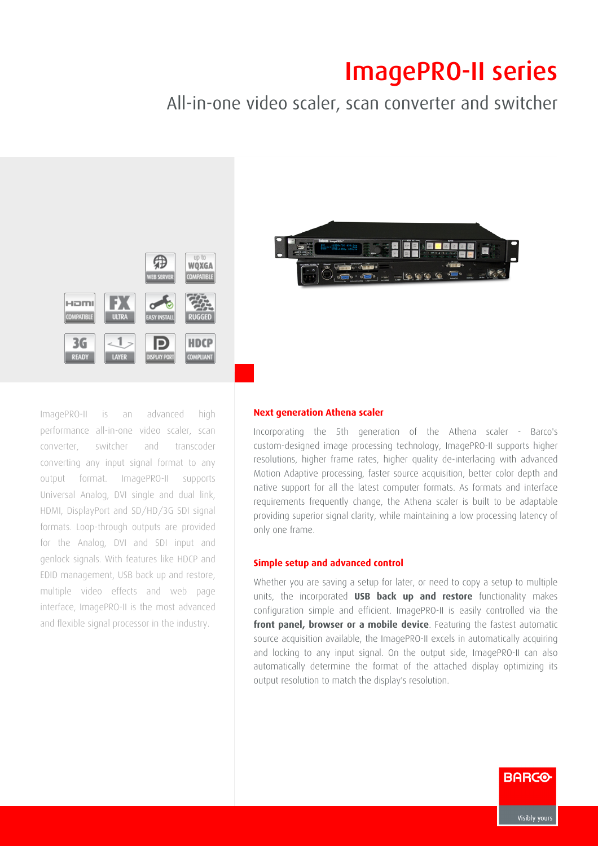# **ImagePRO-II series**

## All-in-one video scaler, scan converter and switcher





### Next generation Athena scaler

Incorporating the 5th generation of the Athena scaler - Barco's custom-designed image processing technology, ImagePRO-II supports higher resolutions, higher frame rates, higher quality de-interlacing with advanced Motion Adaptive processing, faster source acquisition, better color depth and native support for all the latest computer formats. As formats and interface requirements frequently change, the Athena scaler is built to be adaptable providing superior signal clarity, while maintaining a low processing latency of only one frame.

#### Simple setup and advanced control

Whether you are saving a setup for later, or need to copy a setup to multiple units, the incorporated USB back up and restore functionality makes configuration simple and efficient. ImagePRO-II is easily controlled via the front panel, browser or a mobile device. Featuring the fastest automatic source acquisition available, the ImagePRO-II excels in automatically acquiring and locking to any input signal. On the output side, ImagePRO-II can also automatically determine the format of the attached display optimizing its output resolution to match the display's resolution.

ImagePRO-II is an advanced high performance all-in-one video scaler, scan converter, switcher and transcoder converting any input signal format to any output format. ImagePRO-II supports Universal Analog, DVI single and dual link, HDMI, DisplayPort and SD/HD/3G SDI signal formats. Loop-through outputs are provided for the Analog, DVI and SDI input and genlock signals. With features like HDCP and EDID management, USB back up and restore, multiple video effects and web page interface, ImagePRO-II is the most advanced and flexible signal processor in the industry.



**BARCO**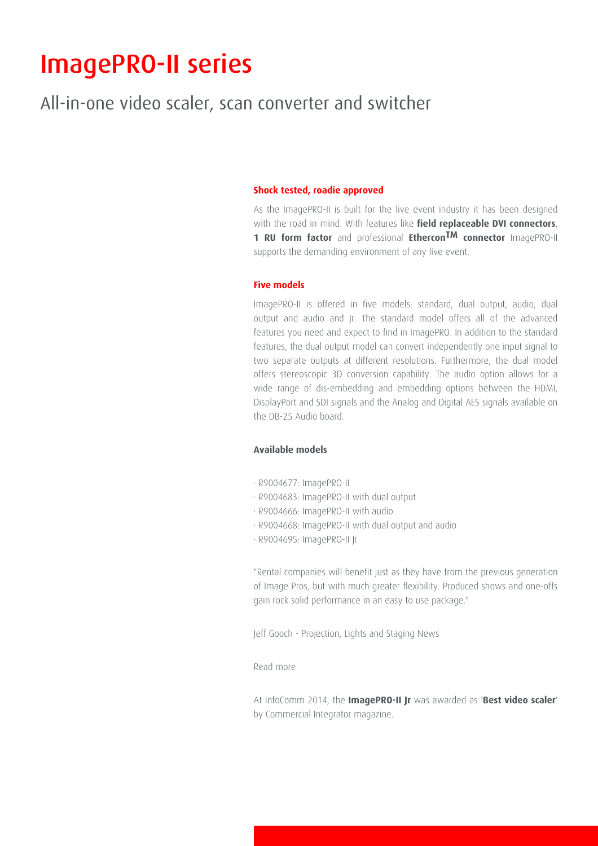# **ImagePRO-II series**

## All-in-one video scaler, scan converter and switcher

### Shock tested, roadie approved

As the ImagePRO-II is built for the live event industry it has been designed with the road in mind. With features like field replaceable DVI connectors, 1 RU form factor and professional Ethercon<sup>TM</sup> connector ImagePRO-II supports the demanding environment of any live event.

#### Five models

ImagePRO-II is offered in five models: standard, dual output, audio, dual output and audio and Jr. The standard model offers all of the advanced features you need and expect to find in ImagePRO. In addition to the standard features, the dual output model can convert independently one input signal to two separate outputs at different resolutions. Furthermore, the dual model offers stereoscopic 3D conversion capability. The audio option allows for a wide range of dis-embedding and embedding options between the HDMI, DisplayPort and SDI signals and the Analog and Digital AES signals available on the DB-25 Audio board.

### Available models

- · R9004677: ImagePRO-II
- · R9004683: ImagePRO-II with dual output
- · R9004666: ImagePRO-II with audio
- ⋅ R9004668: ImagePROII with dual output and audio
- · R9004695: ImagePRO-II Jr

"Rental companies will benefit just as they have from the previous generation of Image Pros, but with much greater flexibility. Produced shows and one-offs gain rock solid performance in an easy to use package."

Jeff Gooch - Projection, Lights and Staging News

Read more

At InfoComm 2014, the ImagePRO-II Jr was awarded as 'Best video scaler' by Commercial Integrator magazine.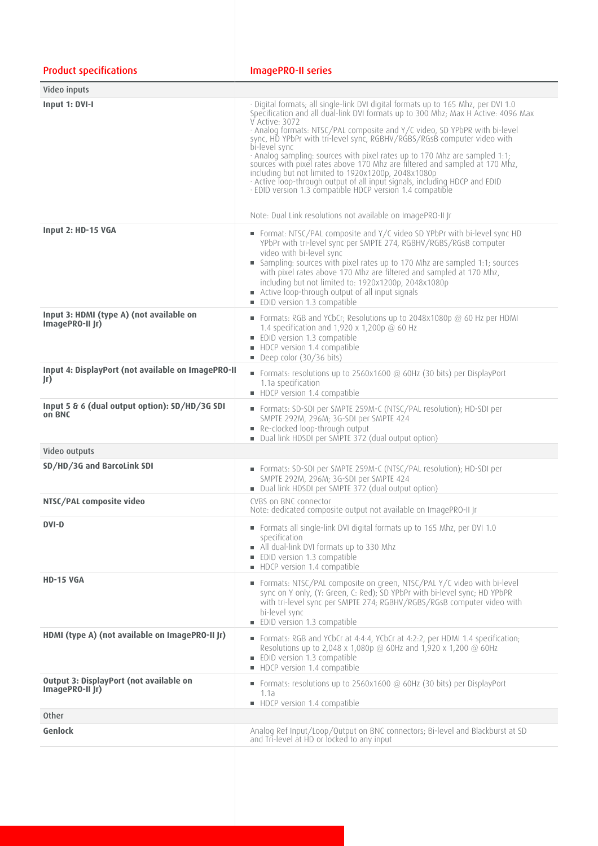| <b>Product specifications</b>                                     | <b>ImagePRO-II series</b>                                                                                                                                                                                                                                                                                                                                                                                                                                                                                                                                                                                                                                                                                                                                                                        |
|-------------------------------------------------------------------|--------------------------------------------------------------------------------------------------------------------------------------------------------------------------------------------------------------------------------------------------------------------------------------------------------------------------------------------------------------------------------------------------------------------------------------------------------------------------------------------------------------------------------------------------------------------------------------------------------------------------------------------------------------------------------------------------------------------------------------------------------------------------------------------------|
| Video inputs                                                      |                                                                                                                                                                                                                                                                                                                                                                                                                                                                                                                                                                                                                                                                                                                                                                                                  |
| Input 1: DVI-I                                                    | · Digital formats; all single-link DVI digital formats up to 165 Mhz, per DVI 1.0<br>Specification and all dual-link DVI formats up to 300 Mhz; Max H Active: 4096 Max<br>V Active: 3072<br>· Analog formats: NTSC/PAL composite and Y/C video, SD YPbPR with bi-level<br>sync, HD YPbPr with tri-level sync, RGBHV/RGBS/RGsB computer video with<br>bi-level sync<br>· Analog sampling: sources with pixel rates up to 170 Mhz are sampled 1:1;<br>sources with pixel rates above 170 Mhz are filtered and sampled at 170 Mhz,<br>including but not limited to 1920x1200p, 2048x1080p<br>· Active loop-through output of all input signals, including HDCP and EDID<br>· EDID version 1.3 compatible HDCP version 1.4 compatible<br>Note: Dual Link resolutions not available on ImagePRO-II Jr |
| Input 2: HD-15 VGA                                                | Format: NTSC/PAL composite and Y/C video SD YPbPr with bi-level sync HD<br>YPbPr with tri-level sync per SMPTE 274, RGBHV/RGBS/RGsB computer<br>video with bi-level sync<br>Sampling: sources with pixel rates up to 170 Mhz are sampled 1:1; sources<br>with pixel rates above 170 Mhz are filtered and sampled at 170 Mhz,<br>including but not limited to: 1920x1200p, 2048x1080p<br>Active loop-through output of all input signals<br><b>EDID version 1.3 compatible</b>                                                                                                                                                                                                                                                                                                                    |
| Input 3: HDMI (type A) (not available on<br>ImagePRO-II Jr)       | Formats: RGB and YCbCr; Resolutions up to 2048x1080p @ 60 Hz per HDMI<br>1.4 specification and 1,920 x 1,200p $@$ 60 Hz<br><b>EDID</b> version 1.3 compatible<br>HDCP version 1.4 compatible<br>Deep color (30/36 bits)                                                                                                                                                                                                                                                                                                                                                                                                                                                                                                                                                                          |
| Input 4: DisplayPort (not available on ImagePRO-II<br>Jr)         | Formats: resolutions up to 2560x1600 $\textcircled{a}$ 60Hz (30 bits) per DisplayPort<br>1.1a specification<br>HDCP version 1.4 compatible                                                                                                                                                                                                                                                                                                                                                                                                                                                                                                                                                                                                                                                       |
| Input 5 & 6 (dual output option): SD/HD/3G SDI<br>on BNC          | Formats: SD-SDI per SMPTE 259M-C (NTSC/PAL resolution); HD-SDI per<br>SMPTE 292M, 296M; 3G-SDI per SMPTE 424<br>Re-clocked loop-through output<br>Dual link HDSDI per SMPTE 372 (dual output option)                                                                                                                                                                                                                                                                                                                                                                                                                                                                                                                                                                                             |
| Video outputs                                                     |                                                                                                                                                                                                                                                                                                                                                                                                                                                                                                                                                                                                                                                                                                                                                                                                  |
| SD/HD/3G and BarcoLink SDI                                        | Formats: SD-SDI per SMPTE 259M-C (NTSC/PAL resolution); HD-SDI per<br>SMPTE 292M, 296M; 3G-SDI per SMPTE 424<br>■ Dual link HDSDI per SMPTE 372 (dual output option)                                                                                                                                                                                                                                                                                                                                                                                                                                                                                                                                                                                                                             |
| NTSC/PAL composite video                                          | CVBS on BNC connector<br>Note: dedicated composite output not available on ImagePRO-II Jr                                                                                                                                                                                                                                                                                                                                                                                                                                                                                                                                                                                                                                                                                                        |
| <b>DVI-D</b>                                                      | Formats all single-link DVI digital formats up to 165 Mhz, per DVI 1.0<br>specification<br>All dual-link DVI formats up to 330 Mhz<br><b>EDID version 1.3 compatible</b><br>HDCP version 1.4 compatible                                                                                                                                                                                                                                                                                                                                                                                                                                                                                                                                                                                          |
| <b>HD-15 VGA</b>                                                  | Formats: NTSC/PAL composite on green, NTSC/PAL Y/C video with bi-level<br>sync on Y only, (Y: Green, C: Red); SD YPbPr with bi-level sync; HD YPbPR<br>with tri-level sync per SMPTE 274; RGBHV/RGBS/RGsB computer video with<br>bi-level sync<br><b>EDID version 1.3 compatible</b>                                                                                                                                                                                                                                                                                                                                                                                                                                                                                                             |
| HDMI (type A) (not available on ImagePRO-II Jr)                   | Formats: RGB and YCbCr at 4:4:4, YCbCr at 4:2:2, per HDMI 1.4 specification;<br>Resolutions up to 2,048 x 1,080p @ 60Hz and 1,920 x 1,200 @ 60Hz<br><b>EDID version 1.3 compatible</b><br>HDCP version 1.4 compatible                                                                                                                                                                                                                                                                                                                                                                                                                                                                                                                                                                            |
| <b>Output 3: DisplayPort (not available on</b><br>ImagePRO-II Jr) | Formats: resolutions up to 2560x1600 $\textcircled{a}$ 60Hz (30 bits) per DisplayPort<br>1.1a<br>HDCP version 1.4 compatible                                                                                                                                                                                                                                                                                                                                                                                                                                                                                                                                                                                                                                                                     |
| <b>Other</b>                                                      |                                                                                                                                                                                                                                                                                                                                                                                                                                                                                                                                                                                                                                                                                                                                                                                                  |
| Genlock                                                           | Analog Ref Input/Loop/Output on BNC connectors; Bi-level and Blackburst at SD<br>and Tri-level at HD or locked to any input                                                                                                                                                                                                                                                                                                                                                                                                                                                                                                                                                                                                                                                                      |